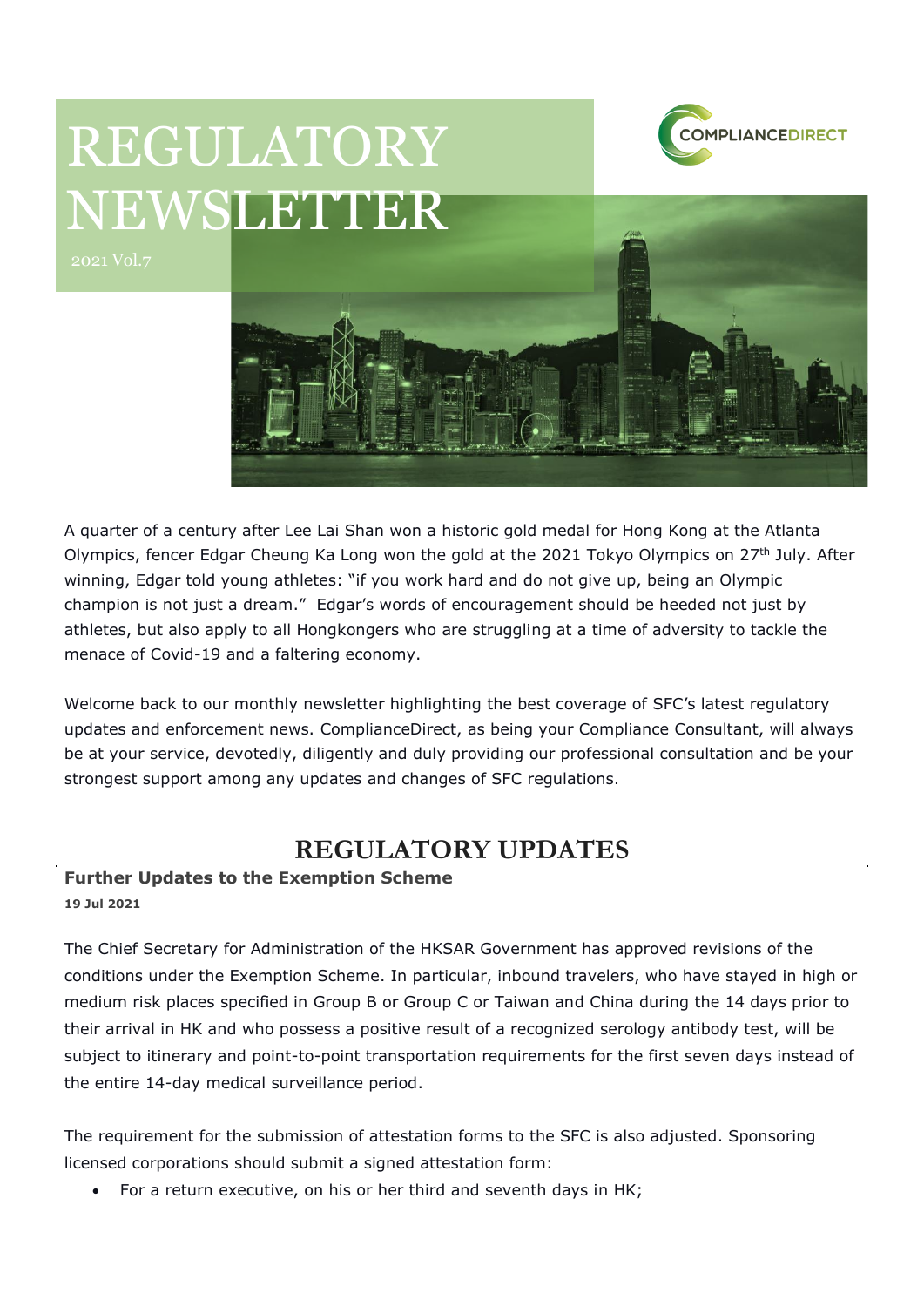

# REGULATORY NEWSLETTER



A quarter of a century after Lee Lai Shan won a historic gold medal for Hong Kong at the Atlanta Olympics, fencer Edgar Cheung Ka Long won the gold at the 2021 Tokyo Olympics on 27<sup>th</sup> July. After winning, Edgar told young athletes: "if you work hard and do not give up, being an Olympic champion is not just a dream." Edgar's words of encouragement should be heeded not just by athletes, but also apply to all Hongkongers who are struggling at a time of adversity to tackle the menace of Covid-19 and a faltering economy.

Welcome back to our monthly newsletter highlighting the best coverage of SFC's latest regulatory updates and enforcement news. ComplianceDirect, as being your Compliance Consultant, will always be at your service, devotedly, diligently and duly providing our professional consultation and be your strongest support among any updates and changes of SFC regulations.

## **REGULATORY UPDATES**

#### **Further Updates to the Exemption Scheme**

**19 Jul 2021**

The Chief Secretary for Administration of the HKSAR Government has approved revisions of the conditions under the Exemption Scheme. In particular, inbound travelers, who have stayed in high or medium risk places specified in Group B or Group C or Taiwan and China during the 14 days prior to their arrival in HK and who possess a positive result of a recognized serology antibody test, will be subject to itinerary and point-to-point transportation requirements for the first seven days instead of the entire 14-day medical surveillance period.

The requirement for the submission of attestation forms to the SFC is also adjusted. Sponsoring licensed corporations should submit a signed attestation form:

• For a return executive, on his or her third and seventh days in HK;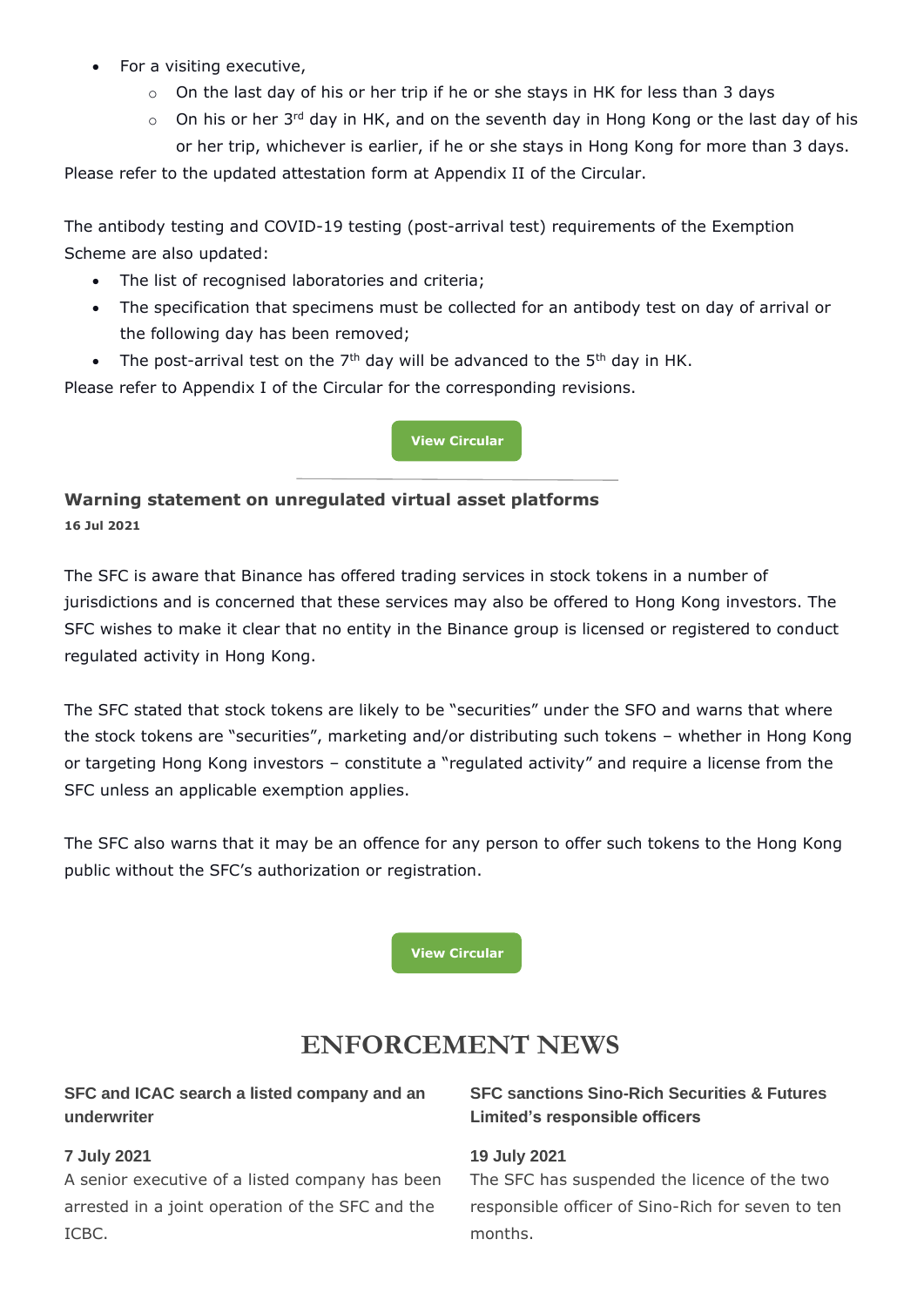- For a visiting executive,
	- o On the last day of his or her trip if he or she stays in HK for less than 3 days
	- $\circ$  On his or her 3<sup>rd</sup> day in HK, and on the seventh day in Hong Kong or the last day of his or her trip, whichever is earlier, if he or she stays in Hong Kong for more than 3 days.

Please refer to the updated attestation form at Appendix II of the Circular.

The antibody testing and COVID-19 testing (post-arrival test) requirements of the Exemption Scheme are also updated:

- The list of recognised laboratories and criteria;
- The specification that specimens must be collected for an antibody test on day of arrival or the following day has been removed;
- The post-arrival test on the  $7<sup>th</sup>$  day will be advanced to the  $5<sup>th</sup>$  day in HK.

Please refer to Appendix I of the Circular for the corresponding revisions.

#### **[View Circular](https://apps.sfc.hk/edistributionWeb/gateway/EN/circular/doc?refNo=21EC30)**

### **Warning statement on unregulated virtual asset platforms 16 Jul 2021**

The SFC is aware that Binance has offered trading services in stock tokens in a number of jurisdictions and is concerned that these services may also be offered to Hong Kong investors. The SFC wishes to make it clear that no entity in the Binance group is licensed or registered to conduct regulated activity in Hong Kong.

The SFC stated that stock tokens are likely to be "securities" under the SFO and warns that where the stock tokens are "securities", marketing and/or distributing such tokens – whether in Hong Kong or targeting Hong Kong investors – constitute a "regulated activity" and require a license from the SFC unless an applicable exemption applies.

The SFC also warns that it may be an offence for any person to offer such tokens to the Hong Kong public without the SFC's authorization or registration.

**[View Circular](https://apps.sfc.hk/edistributionWeb/gateway/EN/news-and-announcements/news/doc?refNo=21PR76)**

# **ENFORCEMENT NEWS**

#### **SFC and ICAC search a listed company and an underwriter**

#### **7 July 2021**

A senior executive of a listed company has been arrested in a joint operation of the SFC and the ICBC.

#### **SFC sanctions Sino-Rich Securities & Futures Limited's responsible officers**

#### **19 July 2021**

The SFC has suspended the licence of the two responsible officer of Sino-Rich for seven to ten months.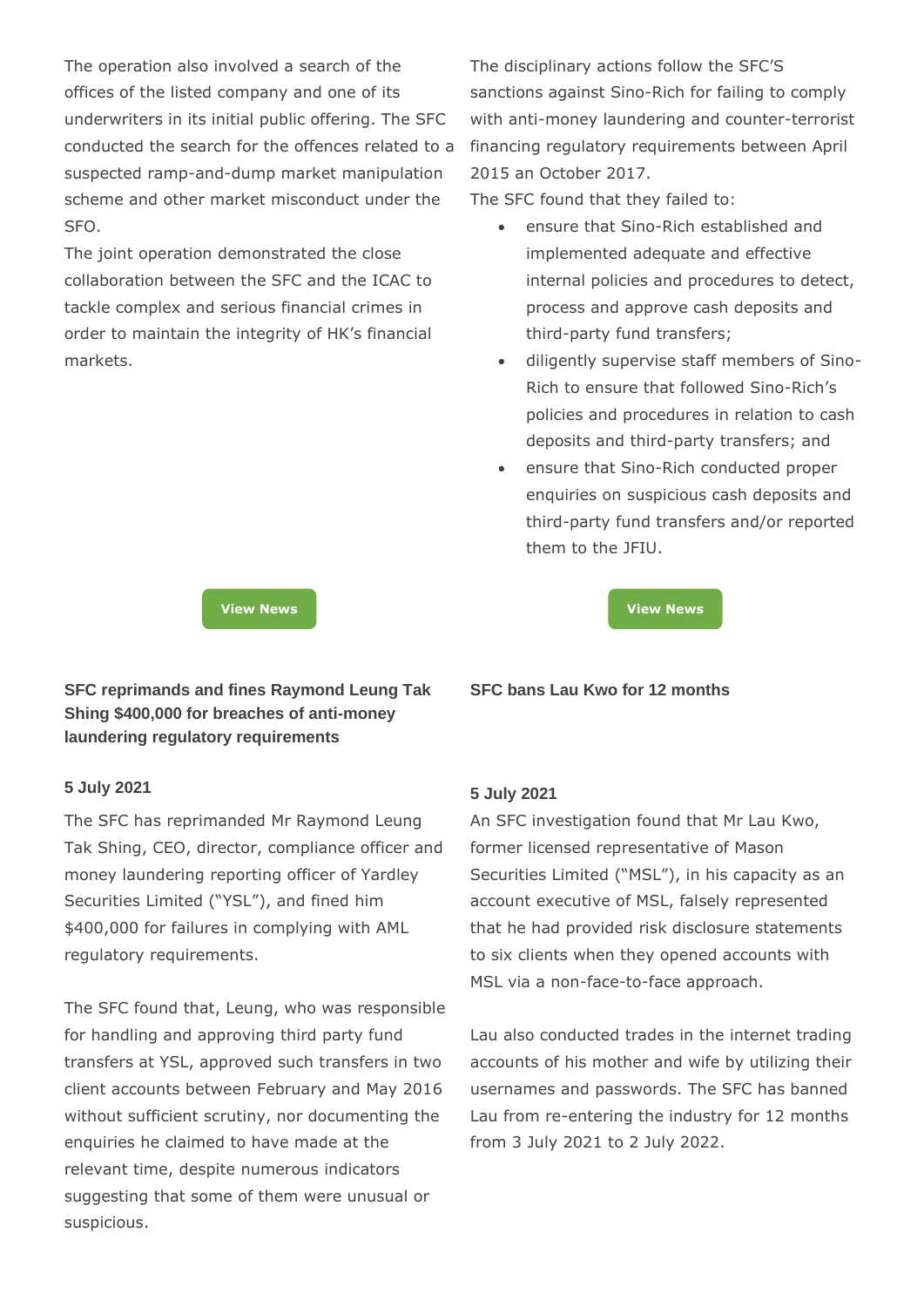The operation also involved a search of the offices of the listed company and one of its underwriters in its initial public offering. The SFC conducted the search for the offences related to a suspected ramp-and-dump market manipulation scheme and other market misconduct under the SFO.

The joint operation demonstrated the close collaboration between the SFC and the ICAC to tackle complex and serious financial crimes in order to maintain the integrity of HK's financial markets.

**SFC reprimands and fines Raymond Leung Tak Shing \$400,000 for breaches of anti-money laundering regulatory requirements**

#### **5 July 2021**

The SFC has reprimanded Mr Raymond Leung Tak Shing, CEO, director, compliance officer and money laundering reporting officer of Yardley Securities Limited ("YSL"), and fined him \$400,000 for failures in complying with AML regulatory requirements.

The SFC found that, Leung, who was responsible for handling and approving third party fund transfers at YSL, approved such transfers in two client accounts between February and May 2016 without sufficient scrutiny, nor documenting the enquiries he claimed to have made at the relevant time, despite numerous indicators suggesting that some of them were unusual or suspicious.

The disciplinary actions follow the SFC'S sanctions against Sino-Rich for failing to comply with anti-money laundering and counter-terrorist financing regulatory requirements between April 2015 an October 2017.

The SFC found that they failed to:

- ensure that Sino-Rich established and implemented adequate and effective internal policies and procedures to detect, process and approve cash deposits and third-party fund transfers;
- diligently supervise staff members of Sino-Rich to ensure that followed Sino-Rich's policies and procedures in relation to cash deposits and third-party transfers; and
- ensure that Sino-Rich conducted proper enquiries on suspicious cash deposits and third-party fund transfers and/or reported them to the JFIU.

**[View News](https://apps.sfc.hk/edistributionWeb/gateway/EN/news-and-announcements/news/doc?refNo=21PR72) [View News](https://apps.sfc.hk/edistributionWeb/gateway/EN/news-and-announcements/news/doc?refNo=21PR77)**



#### **5 July 2021**

An SFC investigation found that Mr Lau Kwo, former licensed representative of Mason Securities Limited ("MSL"), in his capacity as an account executive of MSL, falsely represented that he had provided risk disclosure statements to six clients when they opened accounts with MSL via a non-face-to-face approach.

Lau also conducted trades in the internet trading accounts of his mother and wife by utilizing their usernames and passwords. The SFC has banned Lau from re-entering the industry for 12 months from 3 July 2021 to 2 July 2022.